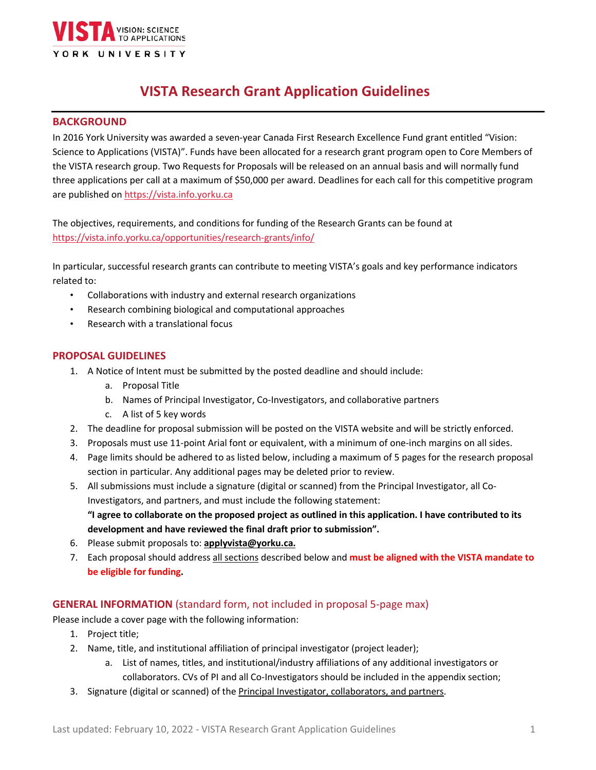

# **VISTA Research Grant Application Guidelines**

#### **BACKGROUND**

In 2016 York University was awarded a seven-year Canada First Research Excellence Fund grant entitled "Vision: Science to Applications (VISTA)". Funds have been allocated for a research grant program open to Core Members of the VISTA research group. Two Requests for Proposals will be released on an annual basis and will normally fund three applications per call at a maximum of \$50,000 per award. Deadlines for each call for this competitive program are published on [https://vista.info.yorku.ca](https://vista.info.yorku.ca/)

The objectives, requirements, and conditions for funding of the Research Grants can be found at <https://vista.info.yorku.ca/opportunities/research-grants/info/>

In particular, successful research grants can contribute to meeting VISTA's goals and key performance indicators related to:

- Collaborations with industry and external research organizations
- Research combining biological and computational approaches
- Research with a translational focus

#### **PROPOSAL GUIDELINES**

- 1. A Notice of Intent must be submitted by the posted deadline and should include:
	- a. Proposal Title
	- b. Names of Principal Investigator, Co-Investigators, and collaborative partners
	- c. A list of 5 key words
- 2. The deadline for proposal submission will be posted on the VISTA website and will be strictly enforced.
- 3. Proposals must use 11-point Arial font or equivalent, with a minimum of one-inch margins on all sides.
- 4. Page limits should be adhered to as listed below, including a maximum of 5 pages for the research proposal section in particular. Any additional pages may be deleted prior to review.
- 5. All submissions must include a signature (digital or scanned) from the Principal Investigator, all Co-Investigators, and partners, and must include the following statement: **"I agree to collaborate on the proposed project as outlined in this application. I have contributed to its development and have reviewed the final draft prior to submission".**
- 6. Please submit proposals to: **[applyvista@yorku.ca.](mailto:applyvista@yorku.ca.)**
- 7. Each proposal should address all sections described below and **must be aligned with the VISTA mandate to be eligible for funding.**

## **GENERAL INFORMATION** (standard form, not included in proposal 5-page max)

Please include a cover page with the following information:

- 1. Project title;
- 2. Name, title, and institutional affiliation of principal investigator (project leader);
	- a. List of names, titles, and institutional/industry affiliations of any additional investigators or collaborators. CVs of PI and all Co-Investigators should be included in the appendix section;
- 3. Signature (digital or scanned) of the Principal Investigator, collaborators, and partners.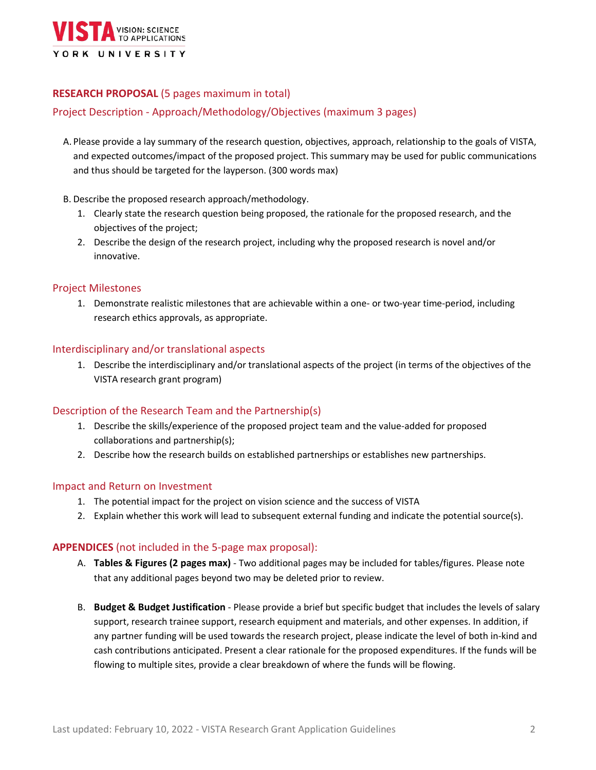

# **RESEARCH PROPOSAL** (5 pages maximum in total)

## Project Description - Approach/Methodology/Objectives (maximum 3 pages)

- A. Please provide a lay summary of the research question, objectives, approach, relationship to the goals of VISTA, and expected outcomes/impact of the proposed project. This summary may be used for public communications and thus should be targeted for the layperson. (300 words max)
- B. Describe the proposed research approach/methodology.
	- 1. Clearly state the research question being proposed, the rationale for the proposed research, and the objectives of the project;
	- 2. Describe the design of the research project, including why the proposed research is novel and/or innovative.

#### Project Milestones

1. Demonstrate realistic milestones that are achievable within a one- or two-year time-period, including research ethics approvals, as appropriate.

#### Interdisciplinary and/or translational aspects

1. Describe the interdisciplinary and/or translational aspects of the project (in terms of the objectives of the VISTA research grant program)

#### Description of the Research Team and the Partnership(s)

- 1. Describe the skills/experience of the proposed project team and the value-added for proposed collaborations and partnership(s);
- 2. Describe how the research builds on established partnerships or establishes new partnerships.

#### Impact and Return on Investment

- 1. The potential impact for the project on vision science and the success of VISTA
- 2. Explain whether this work will lead to subsequent external funding and indicate the potential source(s).

#### **APPENDICES** (not included in the 5-page max proposal):

- A. **Tables & Figures (2 pages max)** Two additional pages may be included for tables/figures. Please note that any additional pages beyond two may be deleted prior to review.
- B. **Budget & Budget Justification** Please provide a brief but specific budget that includes the levels of salary support, research trainee support, research equipment and materials, and other expenses. In addition, if any partner funding will be used towards the research project, please indicate the level of both in-kind and cash contributions anticipated. Present a clear rationale for the proposed expenditures. If the funds will be flowing to multiple sites, provide a clear breakdown of where the funds will be flowing.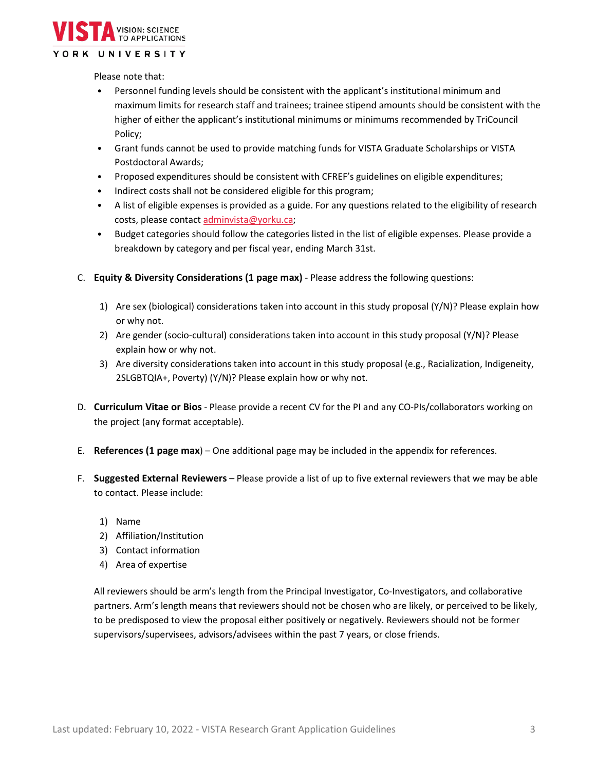

#### YORK UNIVERSITY

Please note that:

- Personnel funding levels should be consistent with the applicant's institutional minimum and maximum limits for research staff and trainees; trainee stipend amounts should be consistent with the higher of either the applicant's institutional minimums or minimums recommended by TriCouncil Policy;
- Grant funds cannot be used to provide matching funds for VISTA Graduate Scholarships or VISTA Postdoctoral Awards;
- Proposed expenditures should be consistent with CFREF's guidelines on eligible expenditures;
- Indirect costs shall not be considered eligible for this program;
- A list of eligible expenses is provided as a guide. For any questions related to the eligibility of research costs, please contact [adminvista@yorku.ca;](mailto:adminvista@yorku.ca)
- Budget categories should follow the categories listed in the list of eligible expenses. Please provide a breakdown by category and per fiscal year, ending March 31st.
- C. **Equity & Diversity Considerations (1 page max)** Please address the following questions:
	- 1) Are sex (biological) considerations taken into account in this study proposal (Y/N)? Please explain how or why not.
	- 2) Are gender (socio-cultural) considerations taken into account in this study proposal (Y/N)? Please explain how or why not.
	- 3) Are diversity considerations taken into account in this study proposal (e.g., Racialization, Indigeneity, 2SLGBTQIA+, Poverty) (Y/N)? Please explain how or why not.
- D. **Curriculum Vitae or Bios** Please provide a recent CV for the PI and any CO-PIs/collaborators working on the project (any format acceptable).
- E. **References (1 page max**) One additional page may be included in the appendix for references.
- F. **Suggested External Reviewers** Please provide a list of up to five external reviewers that we may be able to contact. Please include:
	- 1) Name
	- 2) Affiliation/Institution
	- 3) Contact information
	- 4) Area of expertise

All reviewers should be arm's length from the Principal Investigator, Co-Investigators, and collaborative partners. Arm's length means that reviewers should not be chosen who are likely, or perceived to be likely, to be predisposed to view the proposal either positively or negatively. Reviewers should not be former supervisors/supervisees, advisors/advisees within the past 7 years, or close friends.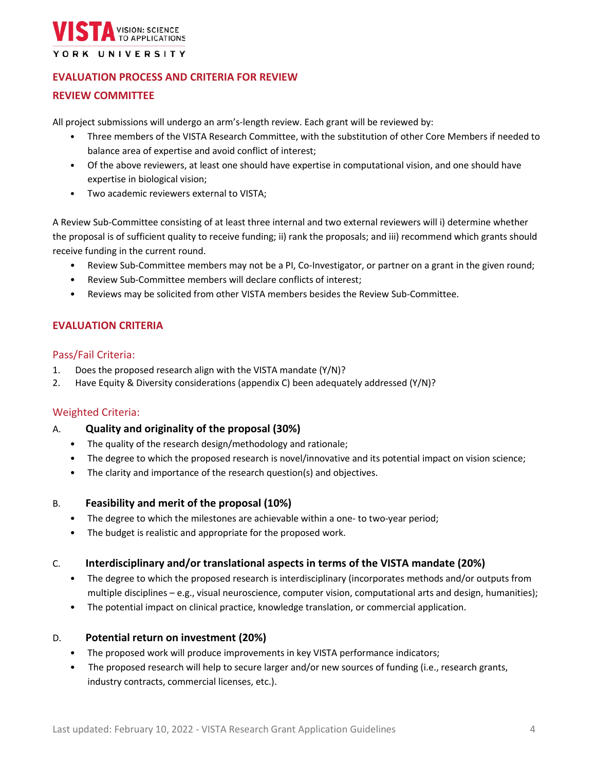

## **EVALUATION PROCESS AND CRITERIA FOR REVIEW**

## **REVIEW COMMITTEE**

All project submissions will undergo an arm's-length review. Each grant will be reviewed by:

- Three members of the VISTA Research Committee, with the substitution of other Core Members if needed to balance area of expertise and avoid conflict of interest;
- Of the above reviewers, at least one should have expertise in computational vision, and one should have expertise in biological vision;
- Two academic reviewers external to VISTA;

A Review Sub-Committee consisting of at least three internal and two external reviewers will i) determine whether the proposal is of sufficient quality to receive funding; ii) rank the proposals; and iii) recommend which grants should receive funding in the current round.

- Review Sub-Committee members may not be a PI, Co-Investigator, or partner on a grant in the given round;
- Review Sub-Committee members will declare conflicts of interest;
- Reviews may be solicited from other VISTA members besides the Review Sub-Committee.

## **EVALUATION CRITERIA**

#### Pass/Fail Criteria:

- 1. Does the proposed research align with the VISTA mandate (Y/N)?
- 2. Have Equity & Diversity considerations (appendix C) been adequately addressed (Y/N)?

## Weighted Criteria:

- A. **Quality and originality of the proposal (30%)**
	- The quality of the research design/methodology and rationale;
	- The degree to which the proposed research is novel/innovative and its potential impact on vision science;
	- The clarity and importance of the research question(s) and objectives.

## B. **Feasibility and merit of the proposal (10%)**

- The degree to which the milestones are achievable within a one- to two-year period;
- The budget is realistic and appropriate for the proposed work.

## C. **Interdisciplinary and/or translational aspects in terms of the VISTA mandate (20%)**

- The degree to which the proposed research is interdisciplinary (incorporates methods and/or outputs from multiple disciplines – e.g., visual neuroscience, computer vision, computational arts and design, humanities);
- The potential impact on clinical practice, knowledge translation, or commercial application.

## D. **Potential return on investment (20%)**

- The proposed work will produce improvements in key VISTA performance indicators;
- The proposed research will help to secure larger and/or new sources of funding (i.e., research grants, industry contracts, commercial licenses, etc.).